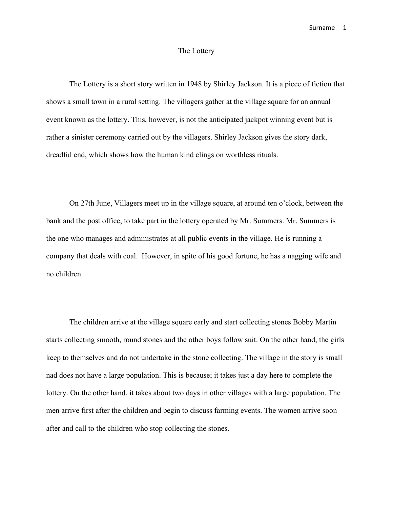## The Lottery

The Lottery is a short story written in 1948 by Shirley Jackson. It is a piece of fiction that shows a small town in a rural setting. The villagers gather at the village square for an annual event known as the lottery. This, however, is not the anticipated jackpot winning event but is rather a sinister ceremony carried out by the villagers. Shirley Jackson gives the story dark, dreadful end, which shows how the human kind clings on worthless rituals.

On 27th June, Villagers meet up in the village square, at around ten o'clock, between the bank and the post office, to take part in the lottery operated by Mr. Summers. Mr. Summers is the one who manages and administrates at all public events in the village. He is running a company that deals with coal. However, in spite of his good fortune, he has a nagging wife and no children.

The children arrive at the village square early and start collecting stones Bobby Martin starts collecting smooth, round stones and the other boys follow suit. On the other hand, the girls keep to themselves and do not undertake in the stone collecting. The village in the story is small nad does not have a large population. This is because; it takes just a day here to complete the lottery. On the other hand, it takes about two days in other villages with a large population. The men arrive first after the children and begin to discuss farming events. The women arrive soon after and call to the children who stop collecting the stones.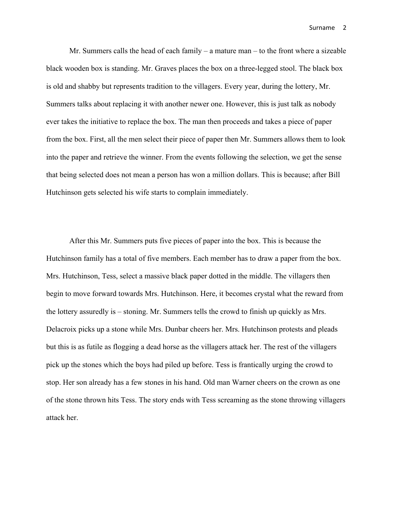Mr. Summers calls the head of each family – a mature man – to the front where a sizeable black wooden box is standing. Mr. Graves places the box on a three-legged stool. The black box is old and shabby but represents tradition to the villagers. Every year, during the lottery, Mr. Summers talks about replacing it with another newer one. However, this is just talk as nobody ever takes the initiative to replace the box. The man then proceeds and takes a piece of paper from the box. First, all the men select their piece of paper then Mr. Summers allows them to look into the paper and retrieve the winner. From the events following the selection, we get the sense that being selected does not mean a person has won a million dollars. This is because; after Bill Hutchinson gets selected his wife starts to complain immediately.

After this Mr. Summers puts five pieces of paper into the box. This is because the Hutchinson family has a total of five members. Each member has to draw a paper from the box. Mrs. Hutchinson, Tess, select a massive black paper dotted in the middle. The villagers then begin to move forward towards Mrs. Hutchinson. Here, it becomes crystal what the reward from the lottery assuredly is – stoning. Mr. Summers tells the crowd to finish up quickly as Mrs. Delacroix picks up a stone while Mrs. Dunbar cheers her. Mrs. Hutchinson protests and pleads but this is as futile as flogging a dead horse as the villagers attack her. The rest of the villagers pick up the stones which the boys had piled up before. Tess is frantically urging the crowd to stop. Her son already has a few stones in his hand. Old man Warner cheers on the crown as one of the stone thrown hits Tess. The story ends with Tess screaming as the stone throwing villagers attack her.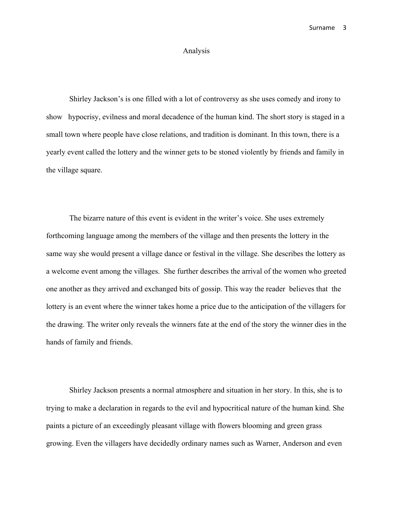## Analysis

Shirley Jackson's is one filled with a lot of controversy as she uses comedy and irony to show hypocrisy, evilness and moral decadence of the human kind. The short story is staged in a small town where people have close relations, and tradition is dominant. In this town, there is a yearly event called the lottery and the winner gets to be stoned violently by friends and family in the village square.

The bizarre nature of this event is evident in the writer's voice. She uses extremely forthcoming language among the members of the village and then presents the lottery in the same way she would present a village dance or festival in the village. She describes the lottery as a welcome event among the villages. She further describes the arrival of the women who greeted one another as they arrived and exchanged bits of gossip. This way the reader believes that the lottery is an event where the winner takes home a price due to the anticipation of the villagers for the drawing. The writer only reveals the winners fate at the end of the story the winner dies in the hands of family and friends.

Shirley Jackson presents a normal atmosphere and situation in her story. In this, she is to trying to make a declaration in regards to the evil and hypocritical nature of the human kind. She paints a picture of an exceedingly pleasant village with flowers blooming and green grass growing. Even the villagers have decidedly ordinary names such as Warner, Anderson and even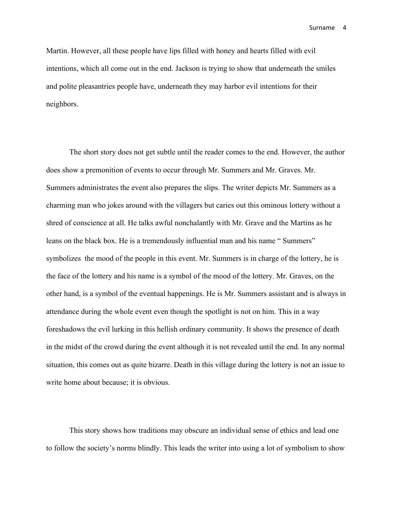Martin. However, all these people have lips filled with honey and hearts filled with evil intentions, which all come out in the end. Jackson is trying to show that underneath the smiles and polite pleasantries people have, underneath they may harbor evil intentions for their neighbors.

The short story does not get subtle until the reader comes to the end. However, the author does show a premonition of events to occur through Mr. Summers and Mr. Graves. Mr. Summers administrates the event also prepares the slips. The writer depicts Mr. Summers as a charming man who jokes around with the villagers but caries out this ominous lottery without a shred of conscience at all. He talks awful nonchalantly with Mr. Grave and the Martins as he leans on the black box. He is a tremendously influential man and his name " Summers" symbolizes the mood of the people in this event. Mr. Summers is in charge of the lottery, he is the face of the lottery and his name is a symbol of the mood of the lottery. Mr. Graves, on the other hand, is a symbol of the eventual happenings. He is Mr. Summers assistant and is always in attendance during the whole event even though the spotlight is not on him. This in a way foreshadows the evil lurking in this hellish ordinary community. It shows the presence of death in the midst of the crowd during the event although it is not revealed until the end. In any normal situation, this comes out as quite bizarre. Death in this village during the lottery is not an issue to write home about because; it is obvious.

This story shows how traditions may obscure an individual sense of ethics and lead one to follow the society's norms blindly. This leads the writer into using a lot of symbolism to show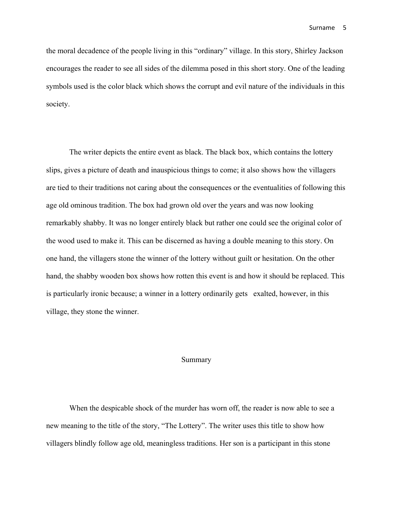the moral decadence of the people living in this "ordinary" village. In this story, Shirley Jackson encourages the reader to see all sides of the dilemma posed in this short story. One of the leading symbols used is the color black which shows the corrupt and evil nature of the individuals in this society.

The writer depicts the entire event as black. The black box, which contains the lottery slips, gives a picture of death and inauspicious things to come; it also shows how the villagers are tied to their traditions not caring about the consequences or the eventualities of following this age old ominous tradition. The box had grown old over the years and was now looking remarkably shabby. It was no longer entirely black but rather one could see the original color of the wood used to make it. This can be discerned as having a double meaning to this story. On one hand, the villagers stone the winner of the lottery without guilt or hesitation. On the other hand, the shabby wooden box shows how rotten this event is and how it should be replaced. This is particularly ironic because; a winner in a lottery ordinarily gets exalted, however, in this village, they stone the winner.

## Summary

When the despicable shock of the murder has worn off, the reader is now able to see a new meaning to the title of the story, "The Lottery". The writer uses this title to show how villagers blindly follow age old, meaningless traditions. Her son is a participant in this stone